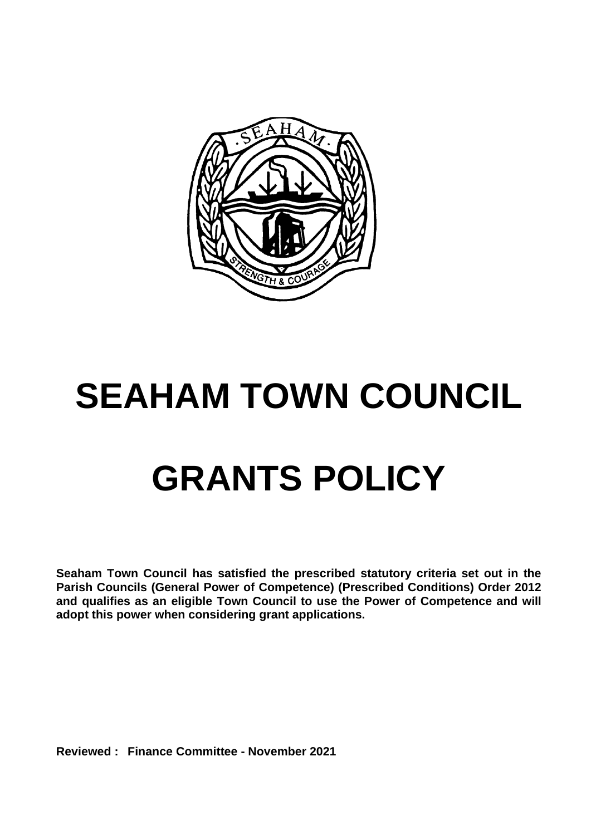

## **SEAHAM TOWN COUNCIL GRANTS POLICY**

**Seaham Town Council has satisfied the prescribed statutory criteria set out in the Parish Councils (General Power of Competence) (Prescribed Conditions) Order 2012 and qualifies as an eligible Town Council to use the Power of Competence and will adopt this power when considering grant applications.**

**Reviewed : Finance Committee - November 2021**